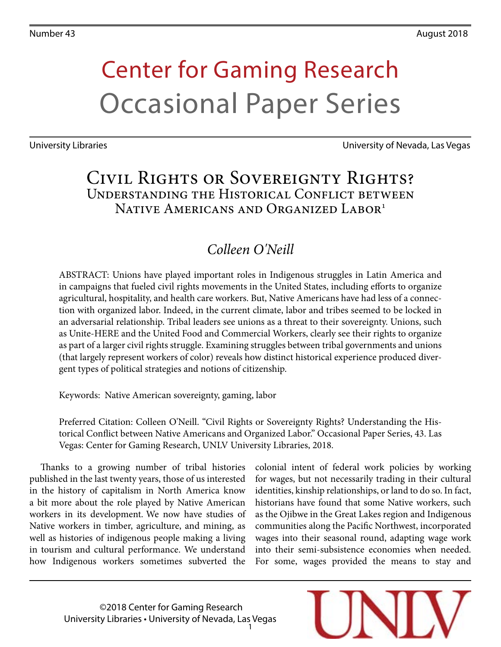# Center for Gaming Research Occasional Paper Series

University Libraries University of Nevada, Las Vegas

## Civil Rights or Sovereignty Rights? Understanding the Historical Conflict between Native Americans and Organized Labor<sup>1</sup>

## *Colleen O'Neill*

ABSTRACT: Unions have played important roles in Indigenous struggles in Latin America and in campaigns that fueled civil rights movements in the United States, including efforts to organize agricultural, hospitality, and health care workers. But, Native Americans have had less of a connection with organized labor. Indeed, in the current climate, labor and tribes seemed to be locked in an adversarial relationship. Tribal leaders see unions as a threat to their sovereignty. Unions, such as Unite-HERE and the United Food and Commercial Workers, clearly see their rights to organize as part of a larger civil rights struggle. Examining struggles between tribal governments and unions (that largely represent workers of color) reveals how distinct historical experience produced divergent types of political strategies and notions of citizenship.

Keywords: Native American sovereignty, gaming, labor

Preferred Citation: Colleen O'Neill. "Civil Rights or Sovereignty Rights? Understanding the Historical Conflict between Native Americans and Organized Labor." Occasional Paper Series, 43. Las Vegas: Center for Gaming Research, UNLV University Libraries, 2018.

Thanks to a growing number of tribal histories published in the last twenty years, those of us interested in the history of capitalism in North America know a bit more about the role played by Native American workers in its development. We now have studies of Native workers in timber, agriculture, and mining, as well as histories of indigenous people making a living in tourism and cultural performance. We understand how Indigenous workers sometimes subverted the colonial intent of federal work policies by working for wages, but not necessarily trading in their cultural identities, kinship relationships, or land to do so. In fact, historians have found that some Native workers, such as the Ojibwe in the Great Lakes region and Indigenous communities along the Pacific Northwest, incorporated wages into their seasonal round, adapting wage work into their semi-subsistence economies when needed. For some, wages provided the means to stay and

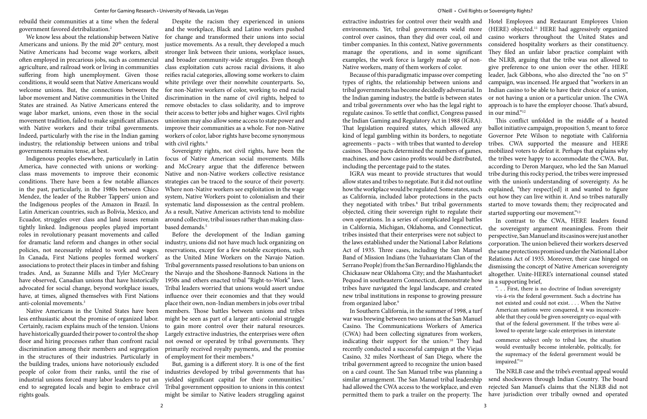rebuild their communities at a time when the federal government favored detribalization.2

Americans and unions. By the mid 20<sup>th</sup> century, most Native Americans had become wage workers, albeit often employed in precarious jobs, such as commercial agriculture, and railroad work or living in communities suffering from high unemployment. Given those conditions, it would seem that Native Americans would welcome unions. But, the connections between the labor movement and Native communities in the United States are strained. As Native Americans entered the wage labor market, unions, even those in the social movement tradition, failed to make significant alliances with Native workers and their tribal governments. Indeed, particularly with the rise in the Indian gaming industry, the relationship between unions and tribal with civil rights.<sup>4</sup> governments remains tense, at best.

America, have connected with unions or workingconditions. There have been a few notable alliances in the past, particularly, in the 1980s between Chico Mendez, the leader of the Rubber Tappers' union and the Indigenous peoples of the Amazon in Brazil. In Latin American countries, such as Bolivia, Mexico, and Ecuador, struggles over class and land issues remain tightly linked. Indigenous peoples played important based demands.<sup>5</sup> roles in revolutionary peasant movements and called policies, not necessarily related to work and wages. In Canada, First Nations peoples formed workers' associations to protect their places in timber and fishing trades. And, as Suzanne Mills and Tyler McCreary have observed, Canadian unions that have historically advocated for social change, beyond workplace issues, have, at times, aligned themselves with First Nations anti-colonial movements.3

We know less about the relationship between Native for change and transformed their unions into social Despite the racism they experienced in unions and the workplace, Black and Latino workers pushed justice movements. As a result, they developed a much stronger link between their unions, workplace issues, and broader community-wide struggles. Even though class exploitation cuts across racial divisions, it also reifies racial categories, allowing some workers to claim white privilege over their nonwhite counterparts. So, for non-Native workers of color, working to end racial discrimination in the name of civil rights, helped to remove obstacles to class solidarity, and to improve their access to better jobs and higher wages. Civil rights unionism may also allow some access to state power and improve their communities as a whole. For non-Native workers of color, labor rights have become synonymous

less enthusiastic about the promise of organized labor. Certainly, racism explains much of the tension. Unions have historically guarded their power to control the shop floor and hiring processes rather than confront racial discrimination among their members and segregation in the structures of their industries. Particularly in of employment for their members.<sup>6</sup> the building trades, unions have notoriously excluded industrial unions forced many labor leaders to put an end to segregated locals and begin to embrace civil rights goals.

Indigenous peoples elsewhere, particularly in Latin focus of Native American social movements. Mills class mass movements to improve their economic Native and non-Native workers collective resistance Sovereignty rights, not civil rights, have been the and McCreary argue that the difference between strategies can be traced to the source of their poverty. Where non-Native workers see exploitation in the wage system, Native Workers point to colonialism and their systematic land dispossession as the central problem. As a result, Native American activists tend to mobilize around collective, tribal issues rather than making class-

for dramatic land reform and changes in other social industry, unions did not have much luck organizing on Native Americans in the United States have been members. Those battles between unions and tribes Before the development of the Indian gaming reservations, except for a few notable exceptions, such as the United Mine Workers on the Navajo Nation. Tribal governments passed resolutions to ban unions on the Navajo and the Shoshone-Bannock Nations in the 1950s and others enacted tribal "Right-to-Work" laws. Tribal leaders worried that unions would assert undue influence over their economies and that they would place their own, non-Indian members in jobs over tribal might be seen as part of a larger anti-colonial struggle to gain more control over their natural resources. Largely extractive industries, the enterprises were often not owned or operated by tribal governments. They primarily received royalty payments, and the promise

people of color from their ranks, until the rise of industries developed by tribal governments that has But, gaming is a different story. It is one of the first yielded significant capital for their communities.<sup>7</sup> Tribal government opposition to unions in this context might be similar to Native leaders struggling against

extractive industries for control over their wealth and Hotel Employees and Restaurant Employees Union environments. Yet, tribal governments wield more control over casinos, than they did over coal, oil and timber companies. In this context, Native governments manage the operations, and in some significant examples, the work force is largely made up of non-Native workers, many of them workers of color. Because of this paradigmatic impasse over competing (HERE) objected.<sup>11</sup> HERE had aggressively organized casino workers throughout the United States and considered hospitality workers as their constituency. They filed an unfair labor practice complaint with the NLRB, arguing that the tribe was not allowed to give preference to one union over the other. HERE leader, Jack Gibbons, who also directed the "no on 5" campaign, was incensed. He argued that "workers in an Indian casino to be able to have their choice of a union, or not having a union or a particular union. The CWA approach is to have the employer choose. That's absurd, in our mind."12

types of rights, the relationship between unions and tribal governments has become decidedly adversarial. In the Indian gaming industry, the battle is between states and tribal governments over who has the legal right to regulate casinos. To settle that conflict, Congress passed the Indian Gaming and Regulatory Act in 1988 (IGRA). That legislation required states, which allowed any kind of legal gambling within its borders, to negotiate agreements – pacts – with tribes that wanted to develop casinos. Those pacts determined the numbers of games, machines, and how casino profits would be distributed, including the percentage paid to the states. IGRA was meant to provide structures that would allow states and tribes to negotiate. But it did not outline how the workplace would be regulated. Some states, such as California, included labor protections in the pacts they negotiated with tribes.<sup>8</sup> But tribal governments This conflict unfolded in the middle of a heated ballot initiative campaign, proposition 5, meant to force Governor Pete Wilson to negotiate with California tribes. CWA supported the measure and HERE mobilized voters to defeat it. Perhaps that explains why the tribes were happy to accommodate the CWA. But, according to Deron Marquez, who led the San Manuel tribe during this rocky period, the tribes were impressed with the union's understanding of sovereignty. As he explained, "they respect[ed] it and wanted to figure out how they can live within it. And so tribes naturally started to move towards them; they reciprocated and

objected, citing their sovereign right to regulate their own operations. In a series of complicated legal battles in California, Michigan, Oklahoma, and Connecticut, tribes insisted that their enterprises were not subject to the laws established under the National Labor Relations Act of 1935. Three cases, including the San Manuel Band of Mission Indians (the Yuhaaviatam Clan of the Serrano People) from the San Bernardino Highlands; the Chickasaw near Oklahoma City; and the Mashantucket Pequod in southeastern Connecticut, demonstrate how tribes have navigated the legal landscape, and created started supporting our movement."<sup>13</sup> In contrast to the CWA, HERE leaders found the sovereignty argument meaningless. From their perspective, San Manuel and its casinos were just another corporation. The union believed their workers deserved the same protections promised under the National Labor Relations Act of 1935. Moreover, their case hinged on dismissing the concept of Native American sovereignty altogether. Unite-HERE's international counsel stated in a supporting brief, ". . . First, there is no doctrine of Indian sovereignty vis-á-vis the federal government. Such a doctrine has not existed and could not exist. . . . When the Native

new tribal institutions in response to growing pressure from organized labor.<sup>9</sup> In Southern California, in the summer of 1998, a turf war was brewing between two unions at the San Manuel Casino. The Communications Workers of America (CWA) had been collecting signatures from workers, indicating their support for the union.10 They had recently conducted a successful campaign at the Viejas Casino, 32 miles Northeast of San Diego, where the tribal government agreed to recognize the union based on a card count. The San Manuel tribe was planning a similar arrangement. The San Manuel tribal leadership had allowed the CWA access to the workplace, and even permitted them to park a trailer on the property. The American nations were conquered, it was inconceivable that they could be given sovereignty co-equal with that of the federal government. If the tribes were allowed to operate large-scale enterprises in interstate commerce subject only to tribal law, the situation would eventually become intolerable, politically, for the supremacy of the federal government would be impaired."<sup>14</sup> The NRLB case and the tribe's eventual appeal would send shockwaves through Indian Country. The board rejected San Manuel's claims that the NLRB did not have jurisdiction over tribally owned and operated

 $2\overline{3}$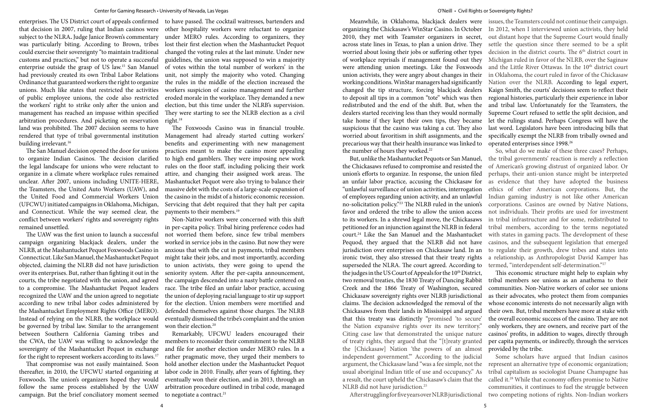enterprises. The US District court of appeals confirmed to have passed. The cocktail waitresses, bartenders and that decision in 2007, ruling that Indian casinos were subject to the NLRA**.** Judge Janice Brown's commentary was particularly biting. According to Brown, tribes could exercise their sovereignty "to maintain traditional customs and practices," but not to operate a successful enterprise outside the grasp of US law.15 San Manuel had previously created its own Tribal Labor Relations Ordinance that guaranteed workers the right to organize unions. Much like states that restricted the activities of public employee unions, the code also restricted the workers' right to strike only after the union and management has reached an impasse within specified arbitration procedures. And picketing on reservation right.<sup>18</sup> land was prohibited. The 2007 decision seems to have building irrelevant.<sup>16</sup>

objected, claiming the NLRB did not have jurisdiction to union activists, they were going to upend the Instead of relying on the NLRB, the workplace would eventually dismissed the tribe's complaint and the union Non-Native workers were concerned with this shift in per-capita policy. Tribal hiring preference codes had not worried them before, since few tribal members worked in service jobs in the casino. But now they were anxious that with the cut in payments, tribal members might take their jobs, and most importantly, according seniority system. After the per-capita announcement, the campaign descended into a nasty battle centered on race. The tribe filed an unfair labor practice, accusing the union of deploying racial language to stir up support for the election. Union members were mortified and defended themselves against those charges. The NLRB won their election.<sup>20</sup>

the CWA, the UAW was willing to acknowledge the members to reconsider their commitment to the NLRB Remarkably, UFCWU leaders encouraged their and file for another election under MERO rules. In a rather pragmatic move, they urged their members to hold another election under the Mashantucket Pequot labor code in 2010. Finally, after years of fighting, they eventually won their election, and in 2013, through an arbitration procedure outlined in tribal code, managed to negotiate a contract.<sup>21</sup>

The San Manuel decision opened the door for unions to organize Indian Casinos. The decision clarified the legal landscape for unions who were reluctant to organize in a climate where workplace rules remained unclear. After 2007, unions including UNITE-HERE, the Teamsters, the United Auto Workers (UAW), and the United Food and Commercial Workers Union (UFCWU) initiated campaigns in Oklahoma, Michigan, and Connecticut. While the way seemed clear, the payments to their members.<sup>19</sup> conflict between workers' rights and sovereignty rights remained unsettled.

The UAW was the first union to launch a successful campaign organizing blackjack dealers, under the NLRB, at the Mashantucket Pequot Foxwoods Casino in Connecticut. Like San Manuel, the Mashantucket Pequot over its enterprises. But, rather than fighting it out in the courts, the tribe negotiated with the union, and agreed to a compromise. The Mashantucket Pequot leaders recognized the UAW and the union agreed to negotiate according to new tribal labor codes administered by the Mashantucket Employment Rights Office (MERO). be governed by tribal law. Similar to the arrangement between Southern California Gaming tribes and sovereignty of the Mashantucket Pequot in exchange for the right to represent workers according to its laws.17

rendered that type of tribal governmental institution Management had already started cutting workers' The Foxwoods Casino was in financial trouble. benefits and experimenting with new management practices meant to make the casino more appealing to high end gamblers. They were imposing new work rules on the floor staff, including policing their work attire, and changing their assigned work areas. The Mashantucket Pequot were also trying to balance their massive debt with the costs of a large-scale expansion of the casino in the midst of a historic economic recession. Servicing that debt required that they halt per capita

That compromise was not easily maintained. Soon thereafter, in 2010, the UFCWU started organizing at Foxwoods. The union's organizers hoped they would follow the same process established by the UAW campaign. But the brief conciliatory moment seemed

other hospitality workers were reluctant to organize under MERO rules. According to organizers, they lost their first election when the Mashantucket Pequot changed the voting rules at the last minute. Under new guidelines, the union was supposed to win a majority of votes within the total number of workers' in the unit, not simply the majority who voted. Changing the rules in the middle of the election increased the workers suspicion of casino management and further eroded morale in the workplace. They demanded a new election, but this time under the NLRB's supervision. They were starting to see the NLRB election as a civil

> the number of hours they worked.<sup>22</sup> But, unlike the Mashantucket Pequots or San Manuel, the Chickasaws refused to compromise and resisted the union's efforts to organize. In response, the union filed an unfair labor practice, accusing the Chickasaw for "unlawful surveillance of union activities, interrogation of employees regarding union activity, and an unlawful no-solicitation policy."23 The NLRB ruled in the union's favor and ordered the tribe to allow the union access to its workers. In a shrewd legal move, the Chickasaws petitioned for an injunction against the NLRB in federal court.24 Like the San Manuel and the Mashantucket Pequod, they argued that the NLRB did not have jurisdiction over enterprises on Chickasaw land. In an ironic twist, they also stressed that their treaty rights superseded the NLRA. The court agreed. According to the judges in the US Court of Appeals for the 10<sup>th</sup> District, two removal treaties, the 1830 Treaty of Dancing Rabbit Creek and the 1866 Treaty of Washington, secured Chickasaw sovereignty rights over NLRB jurisdictional claims. The decision acknowledged the removal of the Chickasaws from their lands in Mississippi and argued that this treaty was distinctly "promised 'to secure' the Nation expansive rights over its new territory." Citing case law that demonstrated the unique nature of treaty rights, they argued that the "[t]reaty granted the [Chickasaw] Nation 'the powers of an almost independent government.'" According to the judicial argument, the Chickasaw land "was a fee simple, not the usual aboriginal Indian title of use and occupancy." As a result, the court upheld the Chickasaw's claim that the NLRB did not have jurisdiction.<sup>25</sup> After struggling for five years over NLRB jurisdictional two competing notions of rights. Non-Indian workers So, what do we make of these three cases? Perhaps, the tribal governments' reaction is merely a reflection of American's growing distrust of organized labor. Or perhaps, their anti-union stance might be interpreted as evidence that they have adopted the business ethics of other American corporations. But, the Indian gaming industry is not like other American corporations. Casinos are owned by Native Nations, not individuals. Their profits are used for investment in tribal infrastructure and for some, redistributed to tribal members, according to the terms negotiated with states in gaming pacts. The development of these casinos, and the subsequent legislation that emerged to regulate their growth, drew tribes and states into a relationship, as Anthropologist David Kamper has termed, "interdependent self-determination."27 This economic structure might help to explain why tribal members see unions as an anathema to their communities. Non-Native workers of color see unions as their advocates, who protect them from companies whose economic interests do not necessarily align with their own. But, tribal members have more at stake with the overall economic success of the casino. They are not only workers, they are owners, and receive part of the casinos' profits, in addition to wages, directly through per capita payments, or indirectly, through the services provided by the tribe. Some scholars have argued that Indian casinos represent an alternative type of economic organization; tribal capitalism as sociologist Duane Champagne has called it.28 While that economy offers promise to Native communities, it continues to fuel the struggle between

Meanwhile, in Oklahoma, blackjack dealers were issues, the Teamsters could not continue their campaign. organizing the Chickasaw's WinStar Casino. In October 2010, they met with Teamster organizers in secret, across state lines in Texas, to plan a union drive. They worried about losing their jobs or suffering other types of workplace reprisals if management found out they were attending union meetings. Like the Foxwoods union activists, they were angry about changes in their working conditions. WinStar managers had significantly changed the tip structure, forcing blackjack dealers to deposit all tips in a common "tote" which was then redistributed and the end of the shift. But, when the dealers started receiving less than they would normally take home if they kept their own tips, they became let the rulings stand. Perhaps Congress will have the suspicious that the casino was taking a cut. They also worried about favoritism in shift assignments, and the precarious way that their health insurance was linked to In 2012, when I interviewed union activists, they held out distant hope that the Supreme Court would finally settle the question since there seemed to be a split decision in the district courts. The 6<sup>th</sup> district court in Michigan ruled in favor of the NLRB, over the Saginaw and the Little River Ottawas. In the 10<sup>th</sup> district court in Oklahoma, the court ruled in favor of the Chickasaw Nation over the NLRB. According to legal expert, Kaign Smith, the courts' decisions seem to reflect their regional histories, particularly their experience in labor and tribal law. Unfortunately for the Teamsters, the Supreme Court refused to settle the split decision, and last word. Legislators have been introducing bills that specifically exempt the NLRB from tribally owned and operated enterprises since 1998.26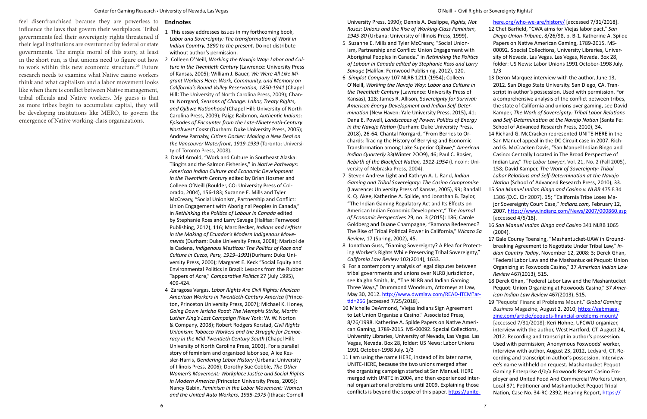feel disenfranchised because they are powerless to influence the laws that govern their workplaces. Tribal governments feel their sovereignty rights threatened if their legal institutions are overturned by federal or state governments. The simple moral of this story, at least in the short run, is that unions need to figure out how to work within this new economic structure.<sup>29</sup> Future research needs to examine what Native casino workers think and what capitalism and a labor movement looks like when there is conflict between Native management, tribal officials and Native workers. My guess is that as more tribes begin to accumulate capital, they will be developing institutions like MERO, to govern the emergence of Native working-class organizations.

#### **Endnotes**

- 5 Suzanne E. Mills and Tyler McCreary, "Social Unionism, Partnership and Conflict: Union Engagement with Aboriginal Peoples in Canada," in *Rethinking the Politics of Labour in Canada edited by Stephanie Ross and Larry Savage* (Halifax: Fernwood Publishing, 2012), 120.
- 6 *Simplot Company* 107 NLRB 1211 (1954); Colleen O'Neill, *Working the Navajo Way: Labor and Culture in the Twentieth Century* (Lawrence: University Press of Kansas), 128; James R. Allison, S*overeignty for Survival: American Energy Development and Indian Self-Determination* (New Haven: Yale University Press, 2015), 41; Dana E. Powell, *Landscapes of Power: Politics of Energy in the Navajo Nation* (Durham: Duke University Press, 2018), 26-64. Chantal Norrgard, "From Berries to Orchards: Tracing the History of Berrying and Economic Transformation among Lake Superior Ojibwe," *American Indian Quarterly* 33(Winter 2OO9), 46; Paul C. Rosier, *Rebirth of the Blackfeet Nation, 1912-1954* (Lincoln: University of Nebraska Press, 2004).
- 7 Steven Andrew Light and Kathryn A. L. Rand, *Indian Gaming and Tribal Sovereignty: The Casino Compromis* (Lawrence: University Press of Kansas, 2005), 99; Rand K. Q. Akee, Katherine A. Spilde, and Jonathan B. Taylor, "The Indian Gaming Regulatory Act and Its Effects on American Indian Economic Development," *The Journal of Economic Perspectives* 29, no. 3 (2015): 186; Carole Goldberg and Duane Champagne, "Ramona Redeemed? The Rise of Tribal Political Power in California," *Wicazo Review*, 17 (Spring, 2002), 45.
- 8 Jonathan Guss, "Gaming Sovereignty? A Plea for Prote ing Worker's Rights While Preserving Tribal Sovereignt *California Law Review* 102(2014), 1633.
- 9 For a contemporary analysis of legal disputes between tribal governments and unions over NLRB jurisdiction, see Kaighn Smith, Jr., "The NLRB and Indian Gaming Three Ways," Drummond Woodsum, Attorneys at Law, May 30, 2012. http://www.dwmlaw.com/READ-ITEM? [tid=266](http://www.dwmlaw.com/READ-ITEM?artid=266) [accessed 7/25/2018].
- 10 Michelle DeArmond, 'Viejas Indians Sign Agreement to Let Union Organize a Casino." Associated Press, 8/26/1998. Katherine A. Spilde Papers on Native Amer can Gaming, 1789-2015. MS-00092. Special Collections, University Libraries, University of Nevada, Las Vegas. La Vegas, Nevada. Box 28, folder: US News: Labor Unions 1991 October-1998 July. 1/3
- 11 I am using the name HERE, instead of its later name, UNITE-HERE, because the two unions merged after the organizing campaign started at San Manuel. HERE merged with UNITE in 2004, and then experienced internal organizational problems until 2009. Explaining those conflicts is beyond the scope of this paper. https://unit

| t            | here.org/who-we-are/history/ [accessed 7/31/2018].                                                               |
|--------------|------------------------------------------------------------------------------------------------------------------|
|              | 12 Chet Barfield, "CWA aims for Viejas labor pact," San                                                          |
|              | Diego Union-Tribune, 8/26/98, p. B-1. Katherine A. Spilde                                                        |
|              | Papers on Native American Gaming, 1789-2015. MS-                                                                 |
|              | 00092. Special Collections, University Libraries, Univer-                                                        |
| $\mathsf{s}$ | sity of Nevada, Las Vegas. Las Vegas, Nevada. Box 28,                                                            |
| .<br>y       | folder: US News: Labor Unions 1991 October-1998 July.                                                            |
|              | 1/3                                                                                                              |
|              | 13 Deron Marquez interview with the author, June 13,                                                             |
|              | 2012. San Diego State University. San Diego, CA. Tran-                                                           |
|              | script in author's possession. Used with permission. For                                                         |
| ŀ.           | a comprehensive analysis of the conflict between tribes,                                                         |
|              | the state of California and unions over gaming, see David                                                        |
|              | Kamper, The Work of Sovereignty: Tribal Labor Relations                                                          |
| v            | and Self-Determination at the Navajo Nation (Santa Fe:                                                           |
|              | School of Advanced Research Press, 2010), 34.                                                                    |
|              | 14 Richard G. McCracken represented UNITE-HERE in the                                                            |
|              | San Manuel appeal in the DC Circuit case in 2007. Rich-                                                          |
| ın           | ard G. McCracken Davis, "San Manuel Indian Bingo and                                                             |
| ni-          | Casino: Centrally Located in The Broad Perspective of                                                            |
|              | Indian Law," The Labor Lawyer, Vol. 21, No. 2 (Fall 2005),<br>158; David Kamper, The Work of Sovereignty: Tribal |
|              | Labor Relations and Self-Determination at the Navajo                                                             |
| sе           | Nation (School of Advanced Research Press, 2010), 33.                                                            |
| lall         | 15 San Manuel Indian Bingo and Casino v. NLRB 475 F.3d                                                           |
|              | 1306 (D.C. Cir 2007), 15; "California Tribe Loses Ma-                                                            |
|              | jor Sovereignty Court Case," Indianz.com, February 12,                                                           |
|              | 2007. https://www.indianz.com/News/2007/000860.asp                                                               |
|              | [accessed 4/5/18].                                                                                               |
| 1?           | 16 San Manuel Indian Bingo and Casino 341 NLRB 1065                                                              |
| Sa           | (2004).                                                                                                          |
|              | 17 Gale Courey Toensing, "Mashantucket-UAW in Ground-                                                            |
| ect-         | breaking Agreement to Negotiate Under Tribal Law," In-                                                           |
| y,"          | <i>dian Country Today,</i> November 12, 2008: 3; Derek Ghan,                                                     |
|              | "Federal Labor Law and the Mashantucket Pequot: Union                                                            |
| ٦            | Organizing at Foxwoods Casino," 37 American Indian Law                                                           |
|              | Review 467(2013), 515.                                                                                           |
|              | 18 Derek Ghan, "Federal Labor Law and the Mashantucket                                                           |
|              | Pequot: Union Organizing at Foxwoods Casino," 37 Amer-                                                           |
| <u>ar-</u>   | ican Indian Law Review 467(2013), 515.                                                                           |
|              | 19 "Pequots' Financial Problems Mount," Global Gaming                                                            |
|              | Business Magazine, August 2, 2010; https://ggbmaga-                                                              |
| i-           | zine.com/article/pequots-financial-problems-mount/<br>[accessed 7/31/2018]; Keri Hohne, UFCWU organizer,         |
| s,           | interview with the author, West Hartford, CT. August 24,                                                         |
| as           | 2012. Recording and transcript in author's possession.                                                           |
|              | Used with permission; Anonymous Foxwoods' worker,                                                                |
|              | interview with author, August 23, 2012, Ledyard, CT. Re-                                                         |
|              | cording and transcript in author's possession. Interview-                                                        |
|              | ee's name withheld on request. Mashantucket Pequot                                                               |
|              | Gaming Enterprise d/b/a Foxwoods Resort Casino Em-                                                               |
| er-          | ployer and United Food And Commercial Workers Union,                                                             |
| sе           | Local 371 Petitioner and Mashantucket Pequot Tribal                                                              |
| <u>te-</u>   | Nation, Case No. 34-RC-2392, Hearing Report, https://                                                            |

- 1 This essay addresses issues in my forthcoming book, *Labor and Sovereignty: The transformation of Work in Indian Country, 1890 to the present*. Do not distribute without author's permission.
- 2 Colleen O'Neill, *Working the Navajo Way: Labor and Culture in the Twentieth Century* (Lawrence: University Press of Kansas, 2005); William J. Bauer, *We Were All Like Migrant Workers Here: Work, Community, and Memory on California's Round Valley Reservation, 1850-1941* (Chapel Hill: The University of North Carolina Press, 2009); Chantal Norrgard, *Seasons of Change: Labor, Treaty Rights, and Ojibwe Nationhood* (Chapel Hill: University of North Carolina Press, 2009); Paige Raibmon, *Authentic Indians: Episodes of Encounter from the Late-Nineteenth-Century Northwest Coast* (Durham: Duke University Press, 2005); Andrew Parnaby, *Citizen Docker: Making a New Deal on the Vancouver Waterfront, 1919-1939* (Toronto: University of Toronto Press, 2008).
- 3 David Arnold, "Work and Culture in Southeast Alaska: Tlingits and the Salmon Fisheries," in *Native Pathways: American Indian Culture and Economic Development in the Twentieth Century* edited by Brian Hosmer and Colleen O'Neill (Boulder, CO: University Press of Colorado, 2004), 156-183; Suzanne E. Mills and Tyler McCreary, "Social Unionism, Partnership and Conflict: Union Engagement with Aboriginal Peoples in Canada," in *Rethinking the Politics of Labour in Canada* edited by Stephanie Ross and Larry Savage (Halifax: Fernwood Publishing, 2012), 116; Marc Becker, *Indians and Leftists in the Making of Ecuador's Modern Indigenous Movements* (Durham: Duke University Press, 2008); Marisol de la Cadena, *Indigenous Mestizos: The Politics of Race and Culture in Cuzco, Peru, 1919–1991*(Durham: Duke University Press, 2000); Margaret E. Keck "Social Equity and Environmental Politics in Brazil: Lessons from the Rubber Tappers of Acre," *Comparative Politics* 27 (July 1995), 409-424.
- 4 Zaragosa Vargas, *Labor Rights Are Civil Rights: Mexican American Workers in Twentieth-Century America* (Princeton**,** Princeton University Press, 2007); Michael K. Honey, *Going Down Jericho Road: The Memphis Strike, Martin Luther King's Last Campaign (*New York: W. W. Norton & Company, 2008); Robert Rodgers Korstad, *Civil Rights Unionism: Tobacco Workers and the Struggle for Democracy in the Mid-Twentieth Century South* (Chapel Hill: University of North Carolina Press, 2003). For a parallel story of feminism and organized labor see, Alice Kessler-Harris, *Gendering Labor History* (Urbana: University of Illinois Press, 2006); Dorothy Sue Cobble, *The Other Women's Movement: Workplace Justice and Social Rights in Modern America (*Princeton University Press, 2005); Nancy Gabin, *Feminism in the Labor Movement: Women and the United Auto Workers, 1935-1975* (Ithaca: Cornell

University Press, 1990); Dennis A. Deslippe, *Rights, Not Roses: Unions and the Rise of Working-Class Feminism, 1945-80* (Urbana: University of Illinois Press, 1999).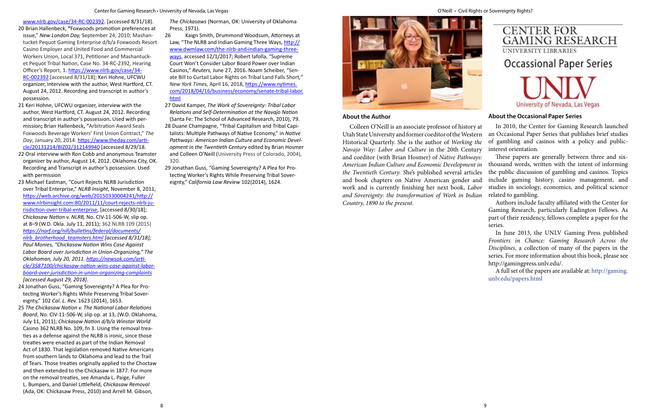#### **About the Author**

Colleen O'Neill is an associate professor of history at Utah State University and former coeditor of the Western Historical Quarterly. She is the author of *Working the Navajo Way: Labor and Culture* in the 20th Century and coeditor (with Brian Hosmer) of *Native Pathways: American Indian Culture and Economic Development in the Twentieth Century. S*he's published several articles and book chapters on Native American gender and work and is currently finishing her next book, *Labor and Sovereignty: the transformation of Work in Indian Country, 1890 to the present*.



# **Occassional Paper Series**

University of Nevada, Las Vegas

## **About the Occasional Paper Series**

In 2010, the Center for Gaming Research launched an Occasional Paper Series that publishes brief studies of gambling and casinos with a policy and publicinterest orientation.

These papers are generally between three and sixthousand words, written with the intent of informing the public discussion of gambling and casinos. Topics include gaming history, casino management, and studies in sociology, economics, and political science related to gambling.

Authors include faculty affiliated with the Center for Gaming Research, particularly Eadington Fellows. As part of their residency, fellows complete a paper for the series.

In June 2013, the UNLV Gaming Press published *Frontiers in Chance: Gaming Research Across the Disciplines*, a collection of many of the papers in the series. For more information about this book, please see <http://gamingpress.unlv.edu/>.

A full set of the papers are available at: [http://gaming.](http://gaming.unlv.edu/papers.html) [unlv.edu/papers.html](http://gaming.unlv.edu/papers.html)

#### [www.nlrb.gov/case/34-RC-002392.](https://www.nlrb.gov/case/34-RC-002392) [accessed 8/31/18].

- 20 Brian Hallenbeck, **"**Foxwoods promotion preferences at issue," *New London Day,* September 24, 2010; Mashantucket Pequot Gaming Enterprise d/b/a Foxwoods Resort Casino Employer and United Food and Commercial Workers Union, Local 371, Petitioner and Mashantucket Pequot Tribal Nation, Case No. 34-RC-2392, Hearing Officer's Report, 1. [https://www.nlrb.gov/case/34-](https://www.nlrb.gov/case/34-RC-002392) [RC-002392](https://www.nlrb.gov/case/34-RC-002392) [accessed 8/31/18]; Keri Hohne, UFCWU organizer, interview with the author, West Hartford, CT. August 24, 2012. Recording and transcript in author's possession.
- 21 Keri Hohne, UFCWU organizer, interview with the author, West Hartford, CT. August 24, 2012. Recording and transcript in author's possession**.** Used with permission**;** Brian Hallenbeck**, "**Arbitration Award Seals Foxwoods Beverage Workers' First Union Contract," *The Day*, January 20, 2014. [https://www.theday.com/arti](https://www.theday.com/article/20131214/BIZ02/312149940)[cle/20131214/BIZ02/312149940](https://www.theday.com/article/20131214/BIZ02/312149940) [accessed 8/29/18.
- 22 Oral interview with Ron Cobb and anonymous Teamster organizer by author, August 14, 2012. Oklahoma City, OK. Recording and Transcript in author's possession. Used with permission
- 23 Michael Eastman, "Court Rejects NLRB Jurisdiction over Tribal Enterprise," *NLRB Insight*, November 8, 2011, [https://web.archive.org/web/20150330004241/http://](https://web.archive.org/web/20150330004241/http://www.nlrbinsight.com:80/2011/11/court-rejects-nlrb-jurisdiction-over-tribal-enterprise) [www.nlrbinsight.com:80/2011/11/court-rejects-nlrb-ju](https://web.archive.org/web/20150330004241/http://www.nlrbinsight.com:80/2011/11/court-rejects-nlrb-jurisdiction-over-tribal-enterprise)[risdiction-over-tribal-enterprise](https://web.archive.org/web/20150330004241/http://www.nlrbinsight.com:80/2011/11/court-rejects-nlrb-jurisdiction-over-tribal-enterprise), [accessed 8/30/18]; *Chickasaw Nation v. NLRB,* No. CIV-11-506-W, slip op. at 8–9 (W.D. Okla. July 11, 2011); 362 NLRB 109 (2015) *[https://narf.org/nill/bulletins/federal/documents/](https://narf.org/nill/bulletins/federal/documents/nlrb_brotherhood_teamsters.html) [nlrb\\_brotherhood\\_teamsters.html](https://narf.org/nill/bulletins/federal/documents/nlrb_brotherhood_teamsters.html) [accessed 8/31/18]; Paul Monies, "Chickasaw Nation Wins Case Against Labor Board over Jurisdiction in Union-Organizing," The Oklahoman, July 20, 2011. [https://newsok.com/arti](https://newsok.com/article/3587100/chickasaw-nation-wins-case-against-labor-board-over-jurisdiction-in-union-organizing-complaints)[cle/3587100/chickasaw-nation-wins-case-against-labor](https://newsok.com/article/3587100/chickasaw-nation-wins-case-against-labor-board-over-jurisdiction-in-union-organizing-complaints)[board-over-jurisdiction-in-union-organizing-complaints](https://newsok.com/article/3587100/chickasaw-nation-wins-case-against-labor-board-over-jurisdiction-in-union-organizing-complaints) [accessed August 29, 2018].*
- 24 Jonathan Guss, "Gaming Sovereignty? A Plea for Protecting Worker's Rights While Preserving Tribal Sovereignty," 102 *Cal. L. Rev.* 1623 (2014), 1653.
- 25 *The Chickasaw Nation v. The National Labor Relations Board*, No. CIV-11-506-W, slip op. at 13, (W.D. Oklahoma, July 11, 2011); *Chickasaw Nation d/b/a Winstar World* Casino 362 NLRB No. 109, fn 3. Using the removal treaties as a defense against the NLRB is ironic, since those treaties were enacted as part of the Indian Removal Act of 1830. That legislation removed Native Americans from southern lands to Oklahoma and lead to the Trail of Tears. Those treaties originally applied to the Choctaw and then extended to the Chickasaw in 1877. For more on the removal treaties, see Amanda L. Paige, Fuller L. Bumpers, and Daniel Littlefield, *Chickasaw Removal* (Ada, OK: Chickasaw Press, 2010) and Arrell M. Gibson,

*The Chickasaws* (Norman, OK: University of Oklahoma Press, 1971).

- 26 Kaign Smith, Drummond Woodsum, Attorneys at Law, "The NLRB and Indian Gaming Three Ways, [http://](http://www.dwmlaw.com/the-nlrb-and-indian-gaming-three-ways) [www.dwmlaw.com/the-nlrb-and-indian-gaming-three](http://www.dwmlaw.com/the-nlrb-and-indian-gaming-three-ways)[ways](http://www.dwmlaw.com/the-nlrb-and-indian-gaming-three-ways), accessed 12/1/2017; Robert Iafolla, "Supreme Court Won't Consider Labor Board Power over Indian Casinos," *Reuters,* June 27, 2016. [Noam Scheiber,](https://www.nytimes.com/by/noam-scheiber) "Senate Bill to Curtail Labor Rights on Tribal Land Falls Short*," New York Times,* April 16, 2018, [https://www.nytimes.](https://www.nytimes.com/2018/04/16/business/economy/senate-tribal-labor.html) [com/2018/04/16/business/economy/senate-tribal-labor.](https://www.nytimes.com/2018/04/16/business/economy/senate-tribal-labor.html) [html](https://www.nytimes.com/2018/04/16/business/economy/senate-tribal-labor.html)
- 27 David Kamper, *The Work of Sovereignty: Tribal Labor Relations and Self-Determination at the Navajo Nation*  (Santa Fe: The School of Advanced Research, 2010), 79. 28 Duane Champagne, "Tribal Capitalism and Tribal Capitalists: Multiple Pathways of Native Economy," in *Native Pathways: American Indian Culture and Economic Development in the Twentieth Century* edited by Brian Hosmer and Colleen O'Neill (University Press of Colorado, 2004), 320.
- 29 Jonathan Guss, "Gaming Sovereignty? A Plea for Protecting Worker's Rights While Preserving Tribal Sovereignty," *California Law Review* 102(2014), 1624.